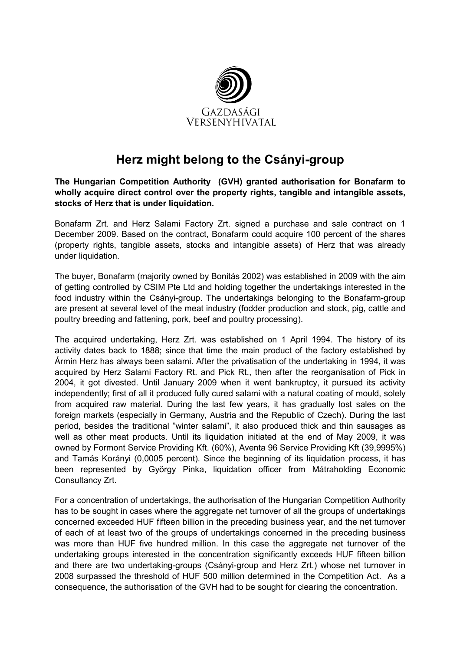

## Herz might belong to the Csányi-group

The Hungarian Competition Authority (GVH) granted authorisation for Bonafarm to wholly acquire direct control over the property rights, tangible and intangible assets, stocks of Herz that is under liquidation.

Bonafarm Zrt. and Herz Salami Factory Zrt. signed a purchase and sale contract on 1 December 2009. Based on the contract, Bonafarm could acquire 100 percent of the shares (property rights, tangible assets, stocks and intangible assets) of Herz that was already under liquidation.

The buyer, Bonafarm (majority owned by Bonitás 2002) was established in 2009 with the aim of getting controlled by CSIM Pte Ltd and holding together the undertakings interested in the food industry within the Csányi-group. The undertakings belonging to the Bonafarm-group are present at several level of the meat industry (fodder production and stock, pig, cattle and poultry breeding and fattening, pork, beef and poultry processing).

The acquired undertaking, Herz Zrt. was established on 1 April 1994. The history of its activity dates back to 1888; since that time the main product of the factory established by Ármin Herz has always been salami. After the privatisation of the undertaking in 1994, it was acquired by Herz Salami Factory Rt. and Pick Rt., then after the reorganisation of Pick in 2004, it got divested. Until January 2009 when it went bankruptcy, it pursued its activity independently; first of all it produced fully cured salami with a natural coating of mould, solely from acquired raw material. During the last few years, it has gradually lost sales on the foreign markets (especially in Germany, Austria and the Republic of Czech). During the last period, besides the traditional "winter salami", it also produced thick and thin sausages as well as other meat products. Until its liquidation initiated at the end of May 2009, it was owned by Formont Service Providing Kft. (60%), Aventa 96 Service Providing Kft (39,9995%) and Tamás Korányi (0,0005 percent). Since the beginning of its liquidation process, it has been represented by György Pinka, liquidation officer from Mátraholding Economic Consultancy Zrt.

For a concentration of undertakings, the authorisation of the Hungarian Competition Authority has to be sought in cases where the aggregate net turnover of all the groups of undertakings concerned exceeded HUF fifteen billion in the preceding business year, and the net turnover of each of at least two of the groups of undertakings concerned in the preceding business was more than HUF five hundred million. In this case the aggregate net turnover of the undertaking groups interested in the concentration significantly exceeds HUF fifteen billion and there are two undertaking-groups (Csányi-group and Herz Zrt.) whose net turnover in 2008 surpassed the threshold of HUF 500 million determined in the Competition Act. As a consequence, the authorisation of the GVH had to be sought for clearing the concentration.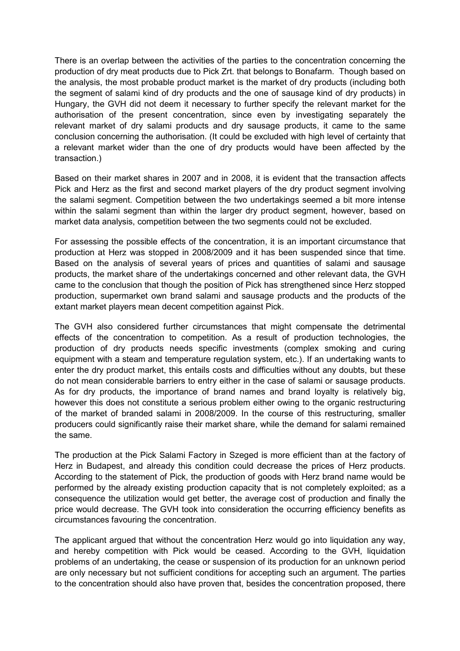There is an overlap between the activities of the parties to the concentration concerning the production of dry meat products due to Pick Zrt. that belongs to Bonafarm. Though based on the analysis, the most probable product market is the market of dry products (including both the segment of salami kind of dry products and the one of sausage kind of dry products) in Hungary, the GVH did not deem it necessary to further specify the relevant market for the authorisation of the present concentration, since even by investigating separately the relevant market of dry salami products and dry sausage products, it came to the same conclusion concerning the authorisation. (It could be excluded with high level of certainty that a relevant market wider than the one of dry products would have been affected by the transaction.)

Based on their market shares in 2007 and in 2008, it is evident that the transaction affects Pick and Herz as the first and second market players of the dry product segment involving the salami segment. Competition between the two undertakings seemed a bit more intense within the salami segment than within the larger dry product segment, however, based on market data analysis, competition between the two segments could not be excluded.

For assessing the possible effects of the concentration, it is an important circumstance that production at Herz was stopped in 2008/2009 and it has been suspended since that time. Based on the analysis of several years of prices and quantities of salami and sausage products, the market share of the undertakings concerned and other relevant data, the GVH came to the conclusion that though the position of Pick has strengthened since Herz stopped production, supermarket own brand salami and sausage products and the products of the extant market players mean decent competition against Pick.

The GVH also considered further circumstances that might compensate the detrimental effects of the concentration to competition. As a result of production technologies, the production of dry products needs specific investments (complex smoking and curing equipment with a steam and temperature regulation system, etc.). If an undertaking wants to enter the dry product market, this entails costs and difficulties without any doubts, but these do not mean considerable barriers to entry either in the case of salami or sausage products. As for dry products, the importance of brand names and brand loyalty is relatively big, however this does not constitute a serious problem either owing to the organic restructuring of the market of branded salami in 2008/2009. In the course of this restructuring, smaller producers could significantly raise their market share, while the demand for salami remained the same.

The production at the Pick Salami Factory in Szeged is more efficient than at the factory of Herz in Budapest, and already this condition could decrease the prices of Herz products. According to the statement of Pick, the production of goods with Herz brand name would be performed by the already existing production capacity that is not completely exploited; as a consequence the utilization would get better, the average cost of production and finally the price would decrease. The GVH took into consideration the occurring efficiency benefits as circumstances favouring the concentration.

The applicant argued that without the concentration Herz would go into liquidation any way, and hereby competition with Pick would be ceased. According to the GVH, liquidation problems of an undertaking, the cease or suspension of its production for an unknown period are only necessary but not sufficient conditions for accepting such an argument. The parties to the concentration should also have proven that, besides the concentration proposed, there